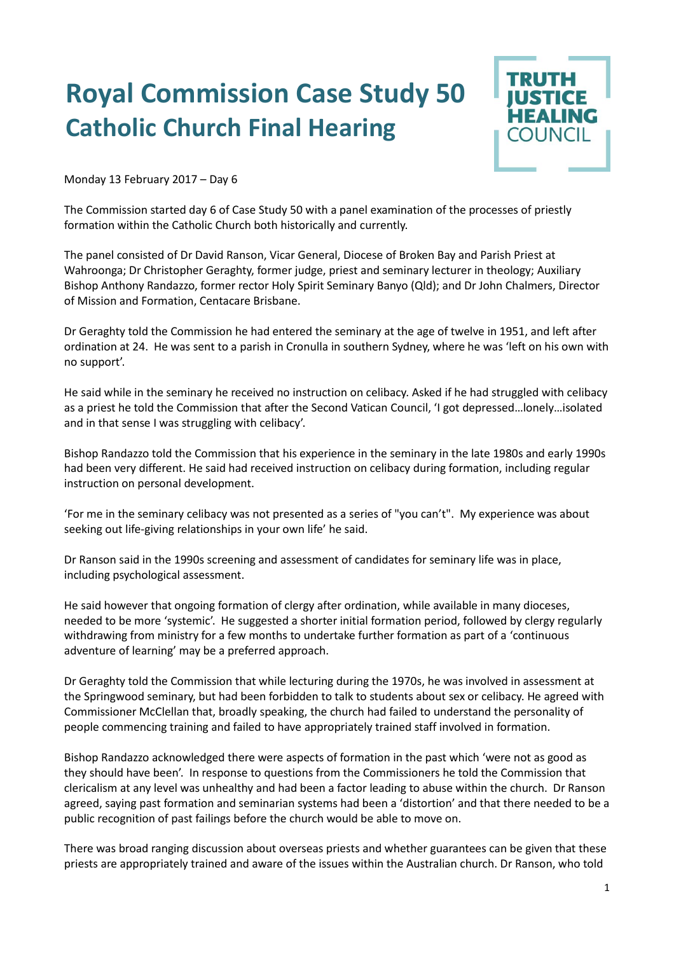## **Royal Commission Case Study 50 Catholic Church Final Hearing**



Monday 13 February 2017 – Day 6

The Commission started day 6 of Case Study 50 with a panel examination of the processes of priestly formation within the Catholic Church both historically and currently.

The panel consisted of Dr David Ranson, Vicar General, Diocese of Broken Bay and Parish Priest at Wahroonga; Dr Christopher Geraghty, former judge, priest and seminary lecturer in theology; Auxiliary Bishop Anthony Randazzo, former rector Holy Spirit Seminary Banyo (Qld); and Dr John Chalmers, Director of Mission and Formation, Centacare Brisbane.

Dr Geraghty told the Commission he had entered the seminary at the age of twelve in 1951, and left after ordination at 24. He was sent to a parish in Cronulla in southern Sydney, where he was 'left on his own with no support'.

He said while in the seminary he received no instruction on celibacy. Asked if he had struggled with celibacy as a priest he told the Commission that after the Second Vatican Council, 'I got depressed…lonely…isolated and in that sense I was struggling with celibacy'.

Bishop Randazzo told the Commission that his experience in the seminary in the late 1980s and early 1990s had been very different. He said had received instruction on celibacy during formation, including regular instruction on personal development.

'For me in the seminary celibacy was not presented as a series of "you can't". My experience was about seeking out life-giving relationships in your own life' he said.

Dr Ranson said in the 1990s screening and assessment of candidates for seminary life was in place, including psychological assessment.

He said however that ongoing formation of clergy after ordination, while available in many dioceses, needed to be more 'systemic'. He suggested a shorter initial formation period, followed by clergy regularly withdrawing from ministry for a few months to undertake further formation as part of a 'continuous adventure of learning' may be a preferred approach.

Dr Geraghty told the Commission that while lecturing during the 1970s, he was involved in assessment at the Springwood seminary, but had been forbidden to talk to students about sex or celibacy. He agreed with Commissioner McClellan that, broadly speaking, the church had failed to understand the personality of people commencing training and failed to have appropriately trained staff involved in formation.

Bishop Randazzo acknowledged there were aspects of formation in the past which 'were not as good as they should have been'. In response to questions from the Commissioners he told the Commission that clericalism at any level was unhealthy and had been a factor leading to abuse within the church. Dr Ranson agreed, saying past formation and seminarian systems had been a 'distortion' and that there needed to be a public recognition of past failings before the church would be able to move on.

There was broad ranging discussion about overseas priests and whether guarantees can be given that these priests are appropriately trained and aware of the issues within the Australian church. Dr Ranson, who told